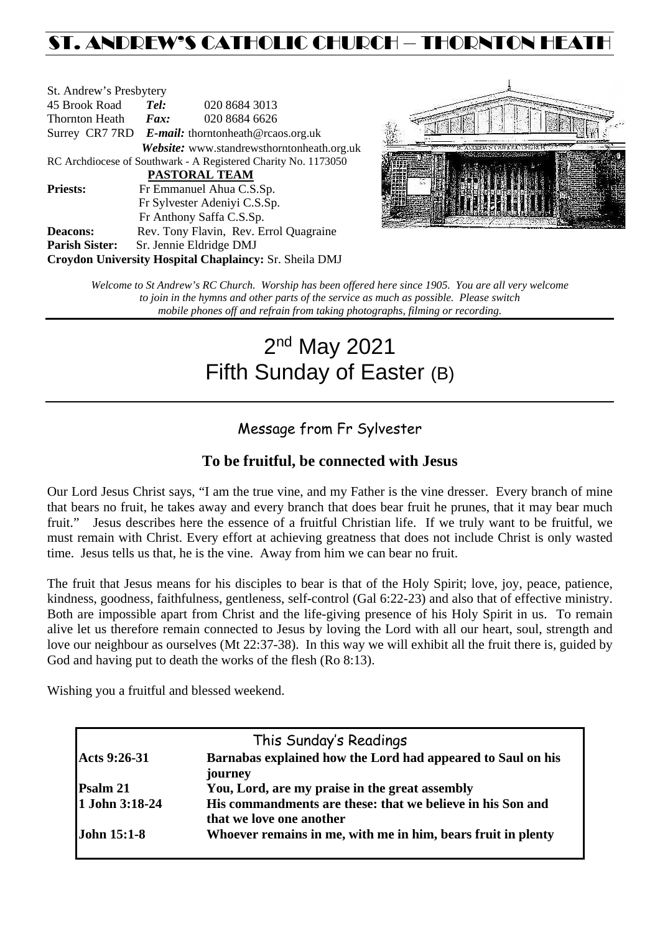# ST. ANDREW'S CATHOLIC CHURCH – THORNTON HEATH

| St. Andrew's Presbytery                                        |                                                   |                                            |  |  |  |
|----------------------------------------------------------------|---------------------------------------------------|--------------------------------------------|--|--|--|
| 45 Brook Road                                                  | Tel:<br>020 8684 3013                             |                                            |  |  |  |
| Thornton Heath                                                 | Fax:                                              | 020 8684 6626                              |  |  |  |
|                                                                | Surrey CR7 7RD E-mail: thorntonheath@rcaos.org.uk |                                            |  |  |  |
|                                                                |                                                   | Website: www.standrewsthorntonheath.org.uk |  |  |  |
| RC Archdiocese of Southwark - A Registered Charity No. 1173050 |                                                   |                                            |  |  |  |
| <b>PASTORAL TEAM</b>                                           |                                                   |                                            |  |  |  |
| <b>Priests:</b>                                                | Fr Emmanuel Ahua C.S.Sp.                          |                                            |  |  |  |
|                                                                | Fr Sylvester Adeniyi C.S.Sp.                      |                                            |  |  |  |
|                                                                | Fr Anthony Saffa C.S.Sp.                          |                                            |  |  |  |
| <b>Deacons:</b>                                                | Rev. Tony Flavin, Rev. Errol Quagraine            |                                            |  |  |  |
| <b>Parish Sister:</b>                                          | Sr. Jennie Eldridge DMJ                           |                                            |  |  |  |
| Croydon University Hospital Chaplaincy: Sr. Sheila DMJ         |                                                   |                                            |  |  |  |



*Welcome to St Andrew's RC Church. Worship has been offered here since 1905. You are all very welcome to join in the hymns and other parts of the service as much as possible. Please switch mobile phones off and refrain from taking photographs, filming or recording.*

# 2<sup>nd</sup> May 2021 Fifth Sunday of Easter (B)

# Message from Fr Sylvester

## **To be fruitful, be connected with Jesus**

Our Lord Jesus Christ says, "I am the true vine, and my Father is the vine dresser. Every branch of mine that bears no fruit, he takes away and every branch that does bear fruit he prunes, that it may bear much fruit." Jesus describes here the essence of a fruitful Christian life. If we truly want to be fruitful, we must remain with Christ. Every effort at achieving greatness that does not include Christ is only wasted time. Jesus tells us that, he is the vine. Away from him we can bear no fruit.

The fruit that Jesus means for his disciples to bear is that of the Holy Spirit; love, joy, peace, patience, kindness, goodness, faithfulness, gentleness, self-control (Gal 6:22-23) and also that of effective ministry. Both are impossible apart from Christ and the life-giving presence of his Holy Spirit in us. To remain alive let us therefore remain connected to Jesus by loving the Lord with all our heart, soul, strength and love our neighbour as ourselves (Mt 22:37-38). In this way we will exhibit all the fruit there is, guided by God and having put to death the works of the flesh (Ro 8:13).

Wishing you a fruitful and blessed weekend.

| This Sunday's Readings |                                                              |  |  |  |
|------------------------|--------------------------------------------------------------|--|--|--|
| Acts 9:26-31           | Barnabas explained how the Lord had appeared to Saul on his  |  |  |  |
|                        | journey                                                      |  |  |  |
| Psalm 21               | You, Lord, are my praise in the great assembly               |  |  |  |
| 1 John 3:18-24         | His commandments are these: that we believe in his Son and   |  |  |  |
|                        | that we love one another                                     |  |  |  |
| <b>John 15:1-8</b>     | Whoever remains in me, with me in him, bears fruit in plenty |  |  |  |
|                        |                                                              |  |  |  |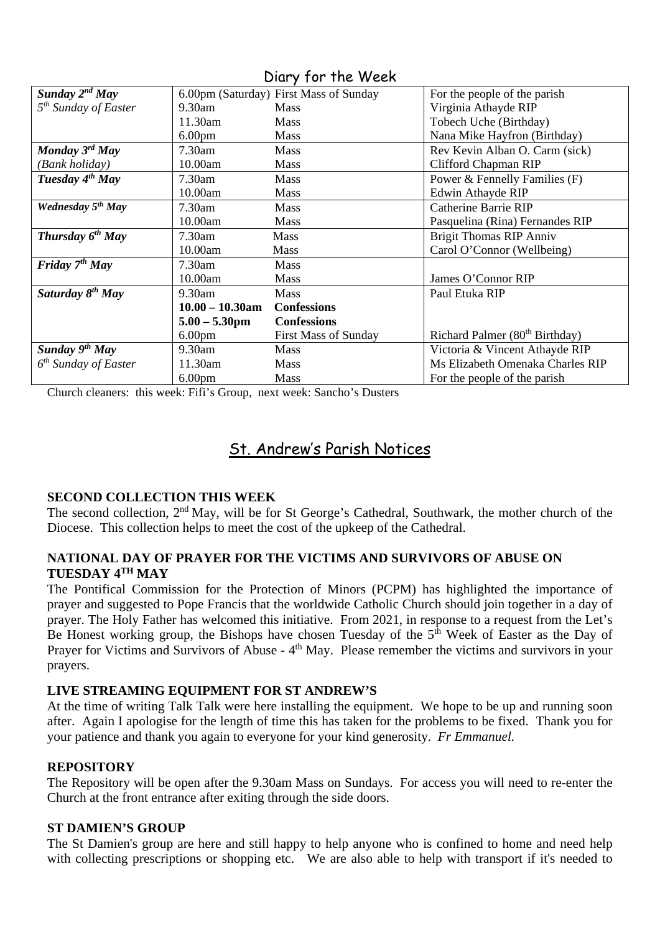| Sunday $2^{nd}$ May              |                         | 6.00pm (Saturday) First Mass of Sunday | For the people of the parish               |
|----------------------------------|-------------------------|----------------------------------------|--------------------------------------------|
| 5 <sup>th</sup> Sunday of Easter | $9.30$ am               | <b>Mass</b>                            | Virginia Athayde RIP                       |
|                                  | 11.30am                 | <b>Mass</b>                            | Tobech Uche (Birthday)                     |
|                                  | 6.00 <sub>pm</sub>      | Mass                                   | Nana Mike Hayfron (Birthday)               |
| Monday $3^{rd}$ May              | 7.30am                  | Mass                                   | Rev Kevin Alban O. Carm (sick)             |
| (Bank holiday)                   | 10.00am                 | <b>Mass</b>                            | Clifford Chapman RIP                       |
| Tuesday $4th$ May                | $7.30$ am               | <b>Mass</b>                            | Power & Fennelly Families (F)              |
|                                  | 10.00am                 | <b>Mass</b>                            | Edwin Athayde RIP                          |
| Wednesday 5 <sup>th</sup> May    | $7.30$ am               | Mass                                   | <b>Catherine Barrie RIP</b>                |
|                                  | 10.00am                 | <b>Mass</b>                            | Pasquelina (Rina) Fernandes RIP            |
| Thursday $6^{th}$ May            | $7.30$ am               | <b>Mass</b>                            | <b>Brigit Thomas RIP Anniv</b>             |
|                                  | 10.00am                 | <b>Mass</b>                            | Carol O'Connor (Wellbeing)                 |
| Friday $7th$ May                 | 7.30am                  | <b>Mass</b>                            |                                            |
|                                  | 10.00am                 | <b>Mass</b>                            | James O'Connor RIP                         |
| Saturday $8^{th}$ May            | 9.30am                  | <b>Mass</b>                            | Paul Etuka RIP                             |
|                                  | $10.00 - 10.30$ am      | <b>Confessions</b>                     |                                            |
|                                  | $5.00 - 5.30 \text{pm}$ | <b>Confessions</b>                     |                                            |
|                                  | 6.00 <sub>pm</sub>      | <b>First Mass of Sunday</b>            | Richard Palmer (80 <sup>th</sup> Birthday) |
| Sunday $9th$ May                 | $9.30$ am               | <b>Mass</b>                            | Victoria & Vincent Athayde RIP             |
| $6th$ Sunday of Easter           | 11.30am                 | <b>Mass</b>                            | Ms Elizabeth Omenaka Charles RIP           |
|                                  | 6.00 <sub>pm</sub>      | Mass                                   | For the people of the parish               |

### Diary for the Week

Church cleaners: this week: Fifi's Group, next week: Sancho's Dusters

# St. Andrew's Parish Notices

#### **SECOND COLLECTION THIS WEEK**

The second collection,  $2<sup>nd</sup>$  May, will be for St George's Cathedral, Southwark, the mother church of the Diocese. This collection helps to meet the cost of the upkeep of the Cathedral.

#### **NATIONAL DAY OF PRAYER FOR THE VICTIMS AND SURVIVORS OF ABUSE ON TUESDAY 4TH MAY**

The Pontifical Commission for the Protection of Minors (PCPM) has highlighted the importance of prayer and suggested to Pope Francis that the worldwide Catholic Church should join together in a day of prayer. The Holy Father has welcomed this initiative. From 2021, in response to a request from the Let's Be Honest working group, the Bishops have chosen Tuesday of the  $5<sup>th</sup>$  Week of Easter as the Day of Prayer for Victims and Survivors of Abuse - 4<sup>th</sup> May. Please remember the victims and survivors in your prayers.

#### **LIVE STREAMING EQUIPMENT FOR ST ANDREW'S**

At the time of writing Talk Talk were here installing the equipment. We hope to be up and running soon after. Again I apologise for the length of time this has taken for the problems to be fixed. Thank you for your patience and thank you again to everyone for your kind generosity. *Fr Emmanuel.*

#### **REPOSITORY**

The Repository will be open after the 9.30am Mass on Sundays. For access you will need to re-enter the Church at the front entrance after exiting through the side doors.

#### **ST DAMIEN'S GROUP**

The St Damien's group are here and still happy to help anyone who is confined to home and need help with collecting prescriptions or shopping etc. We are also able to help with transport if it's needed to